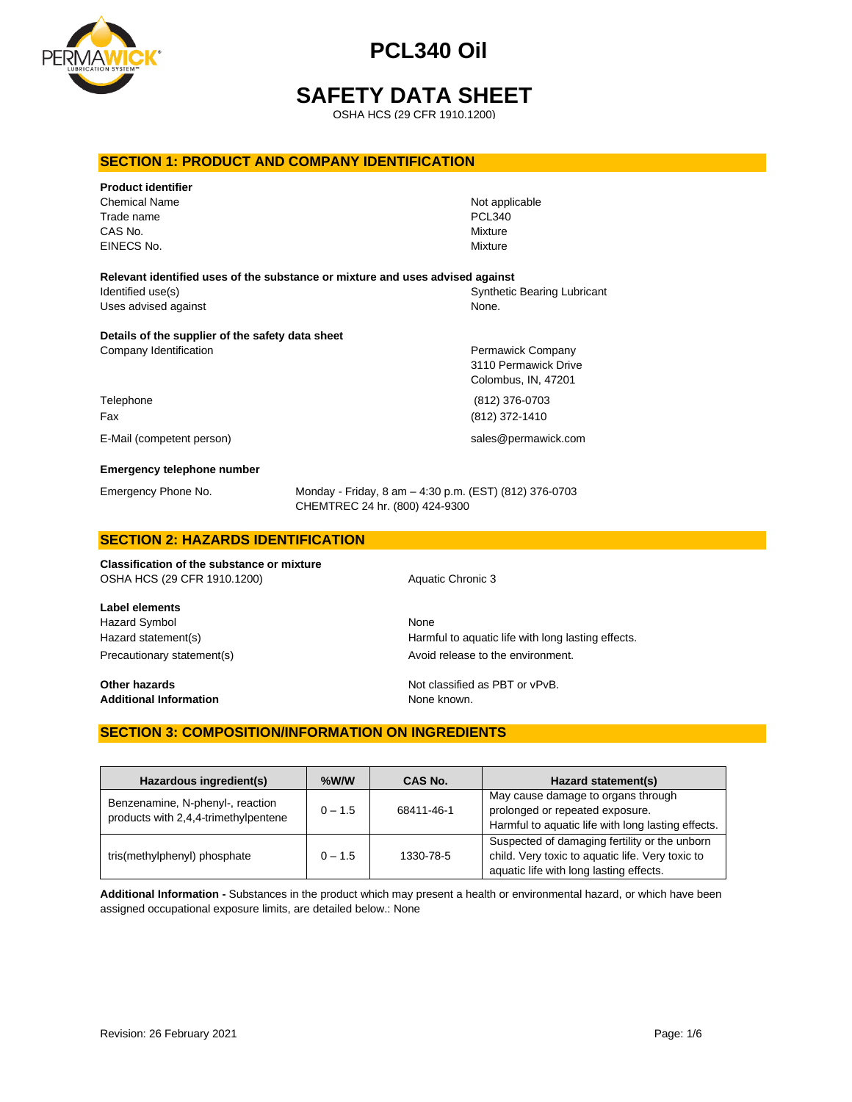

# **SAFETY DATA SHEET**

OSHA HCS (29 CFR 1910.1200)

### **SECTION 1: PRODUCT AND COMPANY IDENTIFICATION**

| <b>Product identifier</b><br><b>Chemical Name</b><br>Trade name<br>CAS No.<br>EINECS No.                                   |                                                                                          | Not applicable<br><b>PCL340</b><br>Mixture<br>Mixture            |
|----------------------------------------------------------------------------------------------------------------------------|------------------------------------------------------------------------------------------|------------------------------------------------------------------|
| Relevant identified uses of the substance or mixture and uses advised against<br>Identified use(s)<br>Uses advised against |                                                                                          | Synthetic Bearing Lubricant<br>None.                             |
| Details of the supplier of the safety data sheet<br>Company Identification                                                 |                                                                                          | Permawick Company<br>3110 Permawick Drive<br>Colombus, IN, 47201 |
| Telephone<br>Fax                                                                                                           |                                                                                          | (812) 376-0703<br>(812) 372-1410                                 |
| E-Mail (competent person)                                                                                                  |                                                                                          | sales@permawick.com                                              |
| <b>Emergency telephone number</b>                                                                                          |                                                                                          |                                                                  |
| Emergency Phone No.                                                                                                        | Monday - Friday, 8 am - 4:30 p.m. (EST) (812) 376-0703<br>CHEMTREC 24 hr. (800) 424-9300 |                                                                  |

#### **SECTION 2: HAZARDS IDENTIFICATION**

**Classification of the substance or mixture** OSHA HCS (29 CFR 1910.1200) Aquatic Chronic 3

**Label elements** Hazard Symbol None

**Additional Information** None known.

Hazard statement(s) example a Harmful to aquatic life with long lasting effects. Precautionary statement(s) example a provid release to the environment.

**Other hazards Other hazards Not classified as PBT or vPvB.** 

### **SECTION 3: COMPOSITION/INFORMATION ON INGREDIENTS**

| Hazardous ingredient(s)                                                  | $%$ W/W   | CAS No.    | Hazard statement(s)                                                                                                                          |
|--------------------------------------------------------------------------|-----------|------------|----------------------------------------------------------------------------------------------------------------------------------------------|
| Benzenamine, N-phenyl-, reaction<br>products with 2,4,4-trimethylpentene | $0 - 1.5$ | 68411-46-1 | May cause damage to organs through<br>prolonged or repeated exposure.<br>Harmful to aquatic life with long lasting effects.                  |
| tris(methylphenyl) phosphate                                             | $0 - 1.5$ | 1330-78-5  | Suspected of damaging fertility or the unborn<br>child. Very toxic to aquatic life. Very toxic to<br>aquatic life with long lasting effects. |

**Additional Information -** Substances in the product which may present a health or environmental hazard, or which have been assigned occupational exposure limits, are detailed below.: None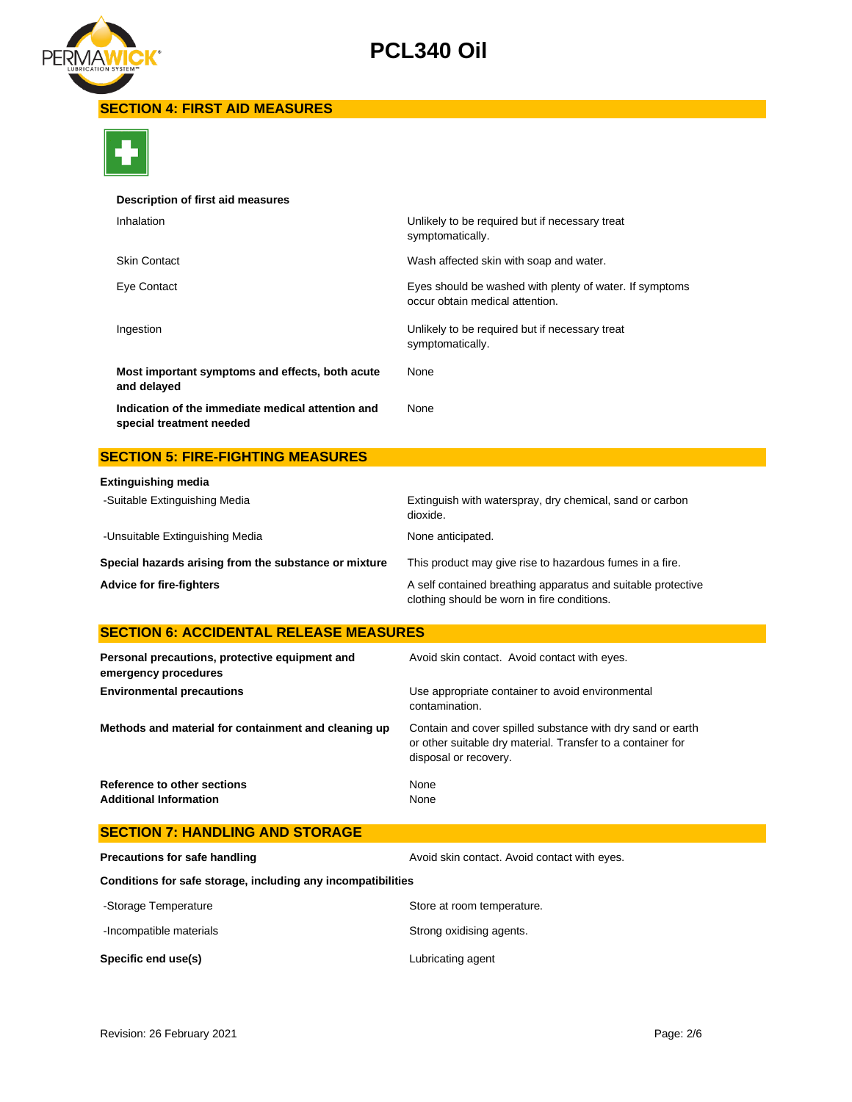

## **SECTION 4: FIRST AID MEASURES**



### **Description of first aid measures**

| Inhalation                                                                    | Unlikely to be required but if necessary treat<br>symptomatically.                         |
|-------------------------------------------------------------------------------|--------------------------------------------------------------------------------------------|
| <b>Skin Contact</b>                                                           | Wash affected skin with soap and water.                                                    |
| Eye Contact                                                                   | Eyes should be washed with plenty of water. If symptoms<br>occur obtain medical attention. |
| Ingestion                                                                     | Unlikely to be required but if necessary treat<br>symptomatically.                         |
| Most important symptoms and effects, both acute<br>and delayed                | None                                                                                       |
| Indication of the immediate medical attention and<br>special treatment needed | None                                                                                       |

# **SECTION 5: FIRE-FIGHTING MEASURES**

| <b>Extinguishing media</b>                            |                                                                                                             |
|-------------------------------------------------------|-------------------------------------------------------------------------------------------------------------|
| -Suitable Extinguishing Media                         | Extinguish with waterspray, dry chemical, sand or carbon<br>dioxide.                                        |
| -Unsuitable Extinguishing Media                       | None anticipated.                                                                                           |
| Special hazards arising from the substance or mixture | This product may give rise to hazardous fumes in a fire.                                                    |
| <b>Advice for fire-fighters</b>                       | A self contained breathing apparatus and suitable protective<br>clothing should be worn in fire conditions. |

# **SECTION 6: ACCIDENTAL RELEASE MEASURES**

| Personal precautions, protective equipment and<br>emergency procedures | Avoid skin contact. Avoid contact with eyes.                                                                                                       |
|------------------------------------------------------------------------|----------------------------------------------------------------------------------------------------------------------------------------------------|
| <b>Environmental precautions</b>                                       | Use appropriate container to avoid environmental<br>contamination.                                                                                 |
| Methods and material for containment and cleaning up                   | Contain and cover spilled substance with dry sand or earth<br>or other suitable dry material. Transfer to a container for<br>disposal or recovery. |
| Reference to other sections<br><b>Additional Information</b>           | None<br>None                                                                                                                                       |

| <b>SECTION 7: HANDLING AND STORAGE</b>                       |                                              |
|--------------------------------------------------------------|----------------------------------------------|
| Precautions for safe handling                                | Avoid skin contact. Avoid contact with eyes. |
| Conditions for safe storage, including any incompatibilities |                                              |
| -Storage Temperature                                         | Store at room temperature.                   |
| -Incompatible materials                                      | Strong oxidising agents.                     |
| Specific end use(s)                                          | Lubricating agent                            |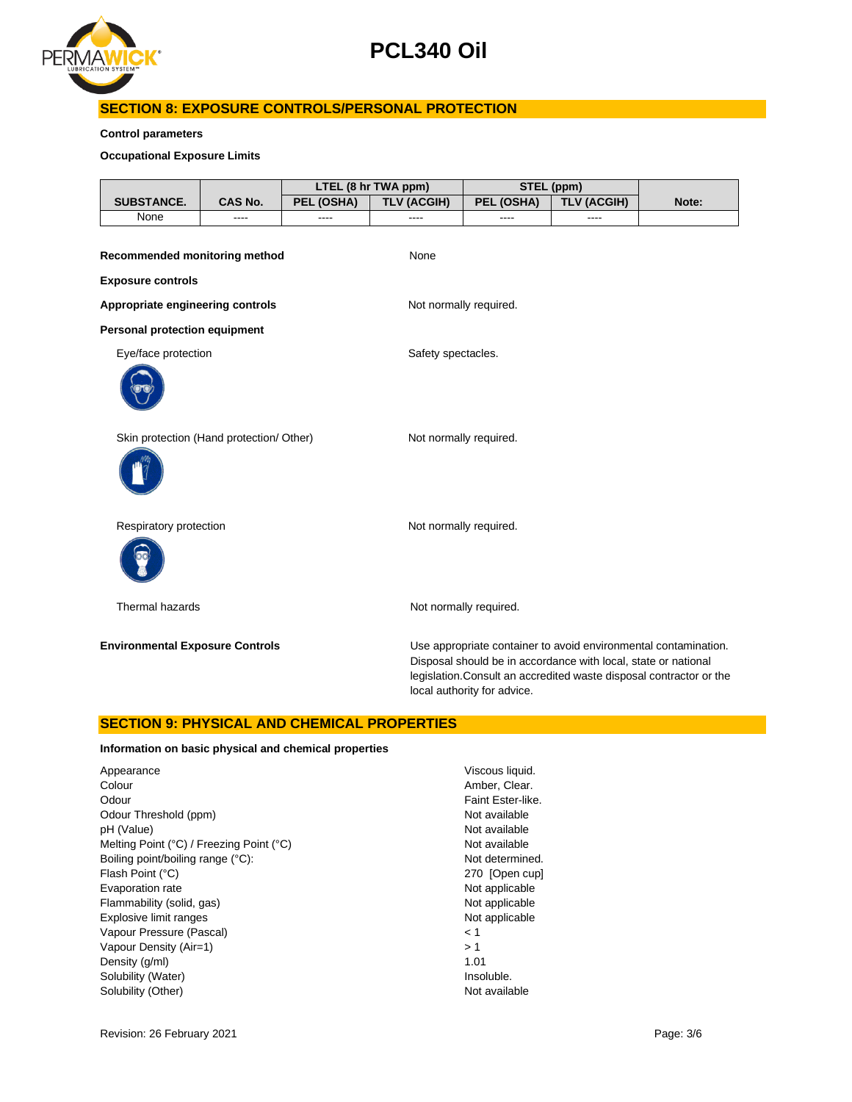

# **SECTION 8: EXPOSURE CONTROLS/PERSONAL PROTECTION**

### **Control parameters**

**Occupational Exposure Limits**

|                                          |                |            | LTEL (8 hr TWA ppm)    | STEL (ppm)                  |                                                                |                                                                                                                                        |
|------------------------------------------|----------------|------------|------------------------|-----------------------------|----------------------------------------------------------------|----------------------------------------------------------------------------------------------------------------------------------------|
| <b>SUBSTANCE.</b>                        | <b>CAS No.</b> | PEL (OSHA) | <b>TLV (ACGIH)</b>     | PEL (OSHA)                  | <b>TLV (ACGIH)</b>                                             | Note:                                                                                                                                  |
| None                                     |                |            |                        |                             |                                                                |                                                                                                                                        |
|                                          |                |            |                        |                             |                                                                |                                                                                                                                        |
| Recommended monitoring method            |                |            | None                   |                             |                                                                |                                                                                                                                        |
| <b>Exposure controls</b>                 |                |            |                        |                             |                                                                |                                                                                                                                        |
| Appropriate engineering controls         |                |            | Not normally required. |                             |                                                                |                                                                                                                                        |
| Personal protection equipment            |                |            |                        |                             |                                                                |                                                                                                                                        |
| Eye/face protection                      |                |            | Safety spectacles.     |                             |                                                                |                                                                                                                                        |
|                                          |                |            |                        |                             |                                                                |                                                                                                                                        |
| Skin protection (Hand protection/ Other) |                |            | Not normally required. |                             |                                                                |                                                                                                                                        |
|                                          |                |            |                        |                             |                                                                |                                                                                                                                        |
| Respiratory protection                   |                |            | Not normally required. |                             |                                                                |                                                                                                                                        |
|                                          |                |            |                        |                             |                                                                |                                                                                                                                        |
| Thermal hazards                          |                |            |                        | Not normally required.      |                                                                |                                                                                                                                        |
| <b>Environmental Exposure Controls</b>   |                |            |                        | local authority for advice. | Disposal should be in accordance with local, state or national | Use appropriate container to avoid environmental contamination.<br>legislation. Consult an accredited waste disposal contractor or the |

## **SECTION 9: PHYSICAL AND CHEMICAL PROPERTIES**

### **Information on basic physical and chemical properties**

| Appearance                               | Viscous liquid  |
|------------------------------------------|-----------------|
| Colour                                   | Amber, Clear    |
| Odour                                    | Faint Ester-lil |
| Odour Threshold (ppm)                    | Not available   |
| pH (Value)                               | Not available   |
| Melting Point (°C) / Freezing Point (°C) | Not available   |
| Boiling point/boiling range (°C):        | Not determine   |
| Flash Point (°C)                         | 270 [Open c     |
| Evaporation rate                         | Not applicable  |
| Flammability (solid, gas)                | Not applicabl   |
| Explosive limit ranges                   | Not applicable  |
| Vapour Pressure (Pascal)                 | < 1             |
| Vapour Density (Air=1)                   | >1              |
| Density (g/ml)                           | 1.01            |
| Solubility (Water)                       | Insoluble.      |
| Solubility (Other)                       | Not available   |
|                                          |                 |

Viscous liquid. Amber, Clear. Faint Ester-like. Not available Not available Not available Not determined. 270 [Open cup] Not applicable Not applicable Not applicable Insoluble.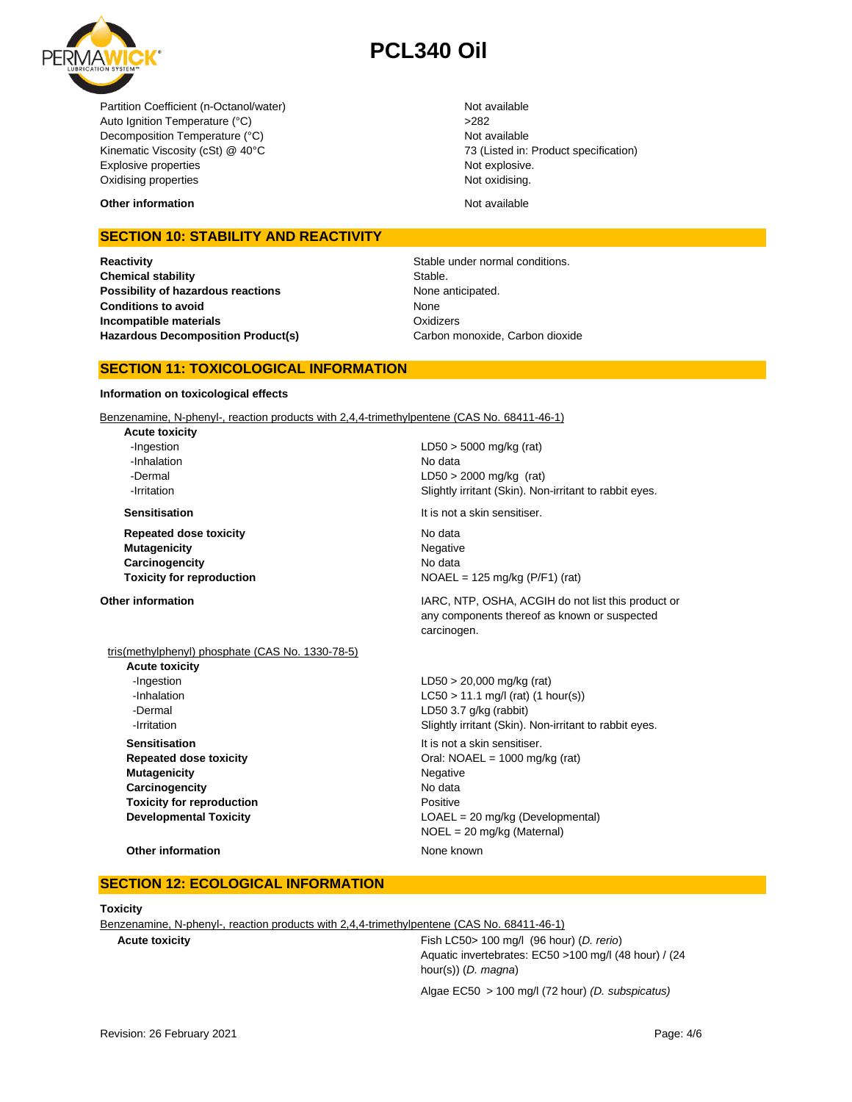

Partition Coefficient (n-Octanol/water) Not available Auto Ignition Temperature (°C) <br>
>282 Decomposition Temperature (°C) Not available Kinematic Viscosity (cSt) @ 40°C 73 (Listed in: Product specification) Explosive properties Not explosive. Oxidising properties Not oxidising.

**Other information** and the state of the state of the state of the Not available of the State of the State of the Not available

## **SECTION 10: STABILITY AND REACTIVITY**

**Reactivity Reactivity Stable under normal conditions. Chemical stability** Stable. **Possibility of hazardous reactions** None anticipated. **Conditions to avoid Incompatible materials Hazardous Decomposition Product(s)** Carbon monoxide, Carbon dioxide

None **Oxidizers** 

## **SECTION 11: TOXICOLOGICAL INFORMATION**

#### **Information on toxicological effects**

Benzenamine, N-phenyl-, reaction products with 2,4,4-trimethylpentene (CAS No. 68411-46-1)

**Acute toxicity** -Inhalation No data

**Repeated dose toxicity** No data **Mutagenicity** Negative **Carcinogencity** No data

-Ingestion LD50 > 5000 mg/kg (rat) -Dermal LD50 > 2000 mg/kg (rat) **-Irritation 1998 1998 1998 1998 Slightly irritant (Skin). Non-irritant to rabbit eyes.** 

**Sensitisation It is not a skin sensitiser.** 

**Toxicity for reproduction**  $NOAEL = 125 mg/kg (P/F1) (rat)$ 

tris(methylphenyl) phosphate (CAS No. 1330-78-5)

**Acute toxicity** -Ingestion LD50 > 20,000 mg/kg (rat) -Dermal LD50 3.7 g/kg (rabbit) **Sensitisation** It is not a skin sensitiser. **Mutagenicity** Negative **Carcinogencity** No data **Toxicity for reproduction Positive** 

**Other information IARC, NTP, OSHA, ACGIH do not list this product or IARC**, NTP, OSHA, ACGIH do not list this product or any components thereof as known or suspected carcinogen.

 $-LCSO > 11.1$  mg/l (rat) (1 hour(s)) **-Irritation Slightly irritant (Skin). Non-irritant to rabbit eyes. Repeated dose toxicity Call: NOAEL = 1000 mg/kg (rat)** Oral: NOAEL = 1000 mg/kg (rat) **Developmental Toxicity LOAEL** = 20 mg/kg (Developmental) NOEL = 20 mg/kg (Maternal)

#### **Other information** and a new motion of the None known

#### **SECTION 12: ECOLOGICAL INFORMATION**

#### **Toxicity**

Benzenamine, N-phenyl-, reaction products with 2,4,4-trimethylpentene (CAS No. 68411-46-1)

**Acute toxicity** Fish LC50> 100 mg/l (96 hour) (*D. rerio*) Aquatic invertebrates: EC50 >100 mg/l (48 hour) / (24 hour(s)) (*D. magna*)

Algae EC50 > 100 mg/l (72 hour) *(D. subspicatus)*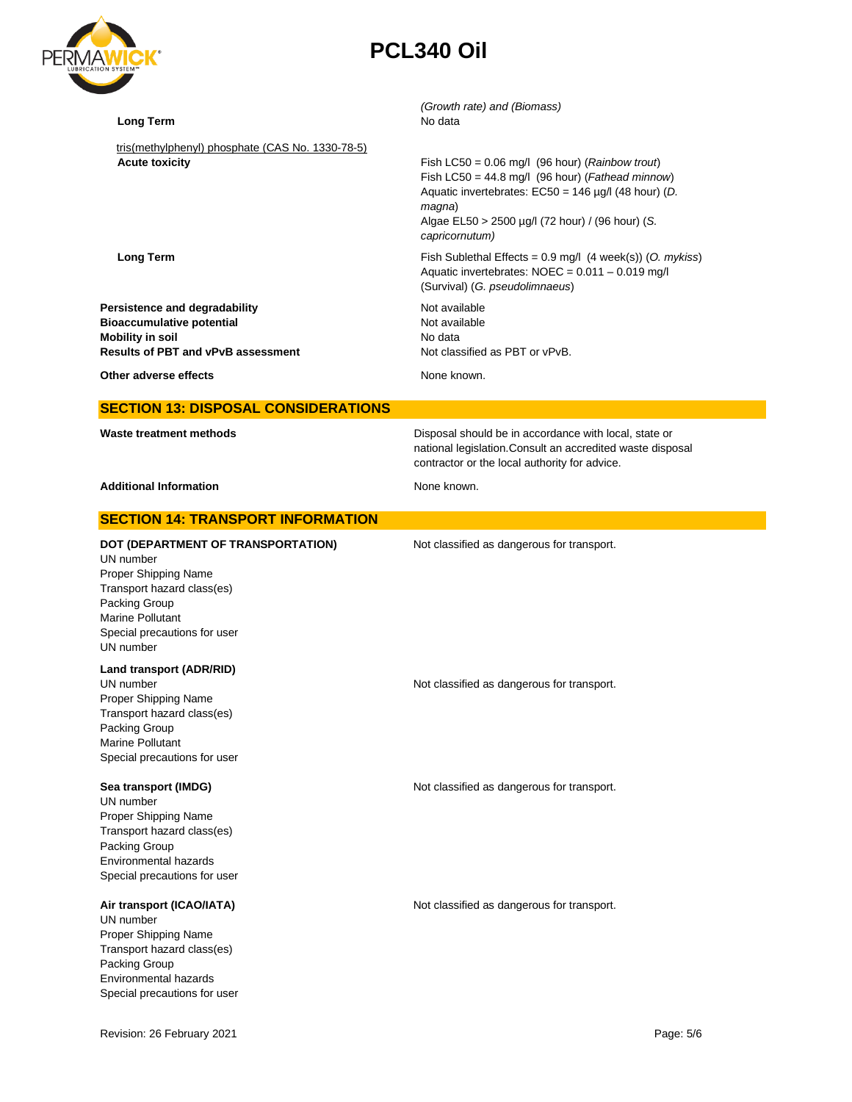

| <b>Long Term</b>                                                                                                                                                                        | (Growth rate) and (Biomass)<br>No data                                                                                                                                                                                                                                 |
|-----------------------------------------------------------------------------------------------------------------------------------------------------------------------------------------|------------------------------------------------------------------------------------------------------------------------------------------------------------------------------------------------------------------------------------------------------------------------|
| tris(methylphenyl) phosphate (CAS No. 1330-78-5)<br><b>Acute toxicity</b>                                                                                                               | Fish LC50 = $0.06$ mg/l (96 hour) ( <i>Rainbow trout</i> )<br>Fish LC50 = $44.8$ mg/l (96 hour) ( <i>Fathead minnow</i> )<br>Aquatic invertebrates: $EC50 = 146 \mu g/l$ (48 hour) (D.<br>magna)<br>Algae EL50 > 2500 µg/l (72 hour) / (96 hour) (S.<br>capricornutum) |
| <b>Long Term</b>                                                                                                                                                                        | Fish Sublethal Effects = $0.9$ mg/l (4 week(s)) (O. mykiss)<br>Aquatic invertebrates: NOEC = 0.011 - 0.019 mg/l<br>(Survival) (G. pseudolimnaeus)                                                                                                                      |
| Persistence and degradability<br><b>Bioaccumulative potential</b><br><b>Mobility in soil</b><br><b>Results of PBT and vPvB assessment</b>                                               | Not available<br>Not available<br>No data<br>Not classified as PBT or vPvB.                                                                                                                                                                                            |
| Other adverse effects                                                                                                                                                                   | None known.                                                                                                                                                                                                                                                            |
| <b>SECTION 13: DISPOSAL CONSIDERATIONS</b>                                                                                                                                              |                                                                                                                                                                                                                                                                        |
| Waste treatment methods                                                                                                                                                                 | Disposal should be in accordance with local, state or<br>national legislation. Consult an accredited waste disposal<br>contractor or the local authority for advice.                                                                                                   |
| <b>Additional Information</b>                                                                                                                                                           | None known.                                                                                                                                                                                                                                                            |
| <b>SECTION 14: TRANSPORT INFORMATION</b>                                                                                                                                                |                                                                                                                                                                                                                                                                        |
| DOT (DEPARTMENT OF TRANSPORTATION)<br>UN number<br>Proper Shipping Name<br>Transport hazard class(es)<br>Packing Group<br>Marine Pollutant<br>Special precautions for user<br>UN number | Not classified as dangerous for transport.                                                                                                                                                                                                                             |
| Land transport (ADR/RID)<br>UN number<br>Proper Shipping Name<br>Transport hazard class(es)<br>Packing Group<br><b>Marine Pollutant</b><br>Special precautions for user                 | Not classified as dangerous for transport.                                                                                                                                                                                                                             |
| Sea transport (IMDG)<br>UN number<br>Proper Shipping Name<br>Transport hazard class(es)<br>Packing Group<br>Environmental hazards<br>Special precautions for user                       | Not classified as dangerous for transport.                                                                                                                                                                                                                             |
| Air transport (ICAO/IATA)<br>UN number<br>Proper Shipping Name<br>Transport hazard class(es)<br>Packing Group<br>Environmental hazards<br>Special precautions for user                  | Not classified as dangerous for transport.                                                                                                                                                                                                                             |
| Revision: 26 February 2021                                                                                                                                                              | Page: 5/6                                                                                                                                                                                                                                                              |